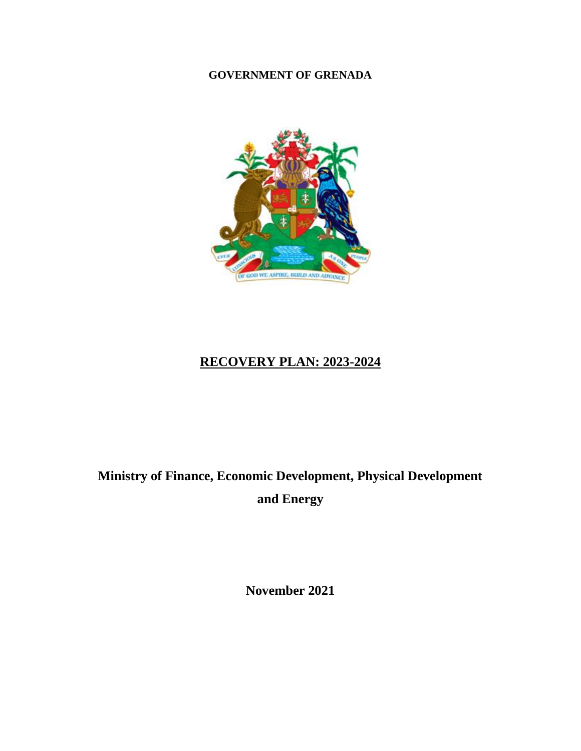### **GOVERNMENT OF GRENADA**



## **RECOVERY PLAN: 2023-2024**

# **Ministry of Finance, Economic Development, Physical Development and Energy**

**November 2021**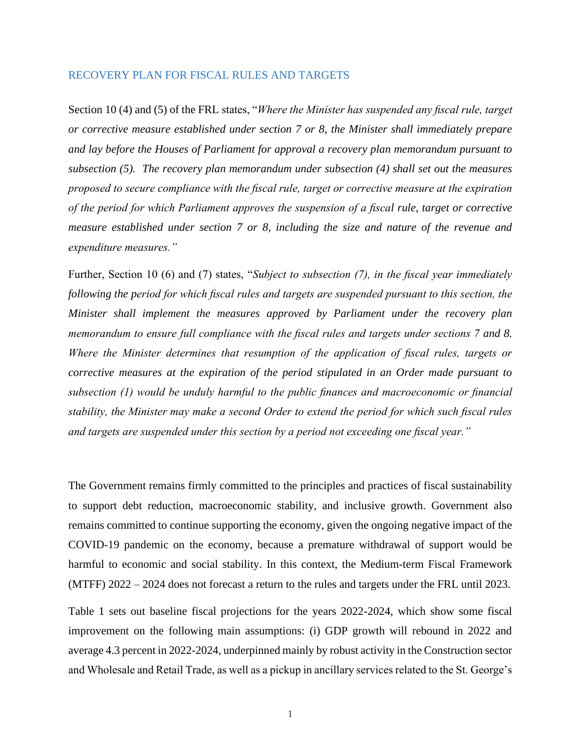#### RECOVERY PLAN FOR FISCAL RULES AND TARGETS

Section 10 (4) and (5) of the FRL states, "*Where the Minister has suspended any fiscal rule, target or corrective measure established under section 7 or 8, the Minister shall immediately prepare and lay before the Houses of Parliament for approval a recovery plan memorandum pursuant to subsection (5). The recovery plan memorandum under subsection (4) shall set out the measures proposed to secure compliance with the fiscal rule, target or corrective measure at the expiration of the period for which Parliament approves the suspension of a fiscal rule, target or corrective measure established under section 7 or 8, including the size and nature of the revenue and expenditure measures."*

Further, Section 10 (6) and (7) states, "*Subject to subsection (7), in the fiscal year immediately*  following the period for which fiscal rules and targets are suspended pursuant to this section, the *Minister shall implement the measures approved by Parliament under the recovery plan memorandum to ensure full compliance with the fiscal rules and targets under sections 7 and 8. Where the Minister determines that resumption of the application of fiscal rules, targets or corrective measures at the expiration of the period stipulated in an Order made pursuant to subsection (1) would be unduly harmful to the public finances and macroeconomic or financial stability, the Minister may make a second Order to extend the period for which such fiscal rules and targets are suspended under this section by a period not exceeding one fiscal year."*

The Government remains firmly committed to the principles and practices of fiscal sustainability to support debt reduction, macroeconomic stability, and inclusive growth. Government also remains committed to continue supporting the economy, given the ongoing negative impact of the COVID-19 pandemic on the economy, because a premature withdrawal of support would be harmful to economic and social stability. In this context, the Medium-term Fiscal Framework (MTFF) 2022 – 2024 does not forecast a return to the rules and targets under the FRL until 2023.

Table 1 sets out baseline fiscal projections for the years 2022-2024, which show some fiscal improvement on the following main assumptions: (i) GDP growth will rebound in 2022 and average 4.3 percent in 2022-2024, underpinned mainly by robust activity in the Construction sector and Wholesale and Retail Trade, as well as a pickup in ancillary services related to the St. George's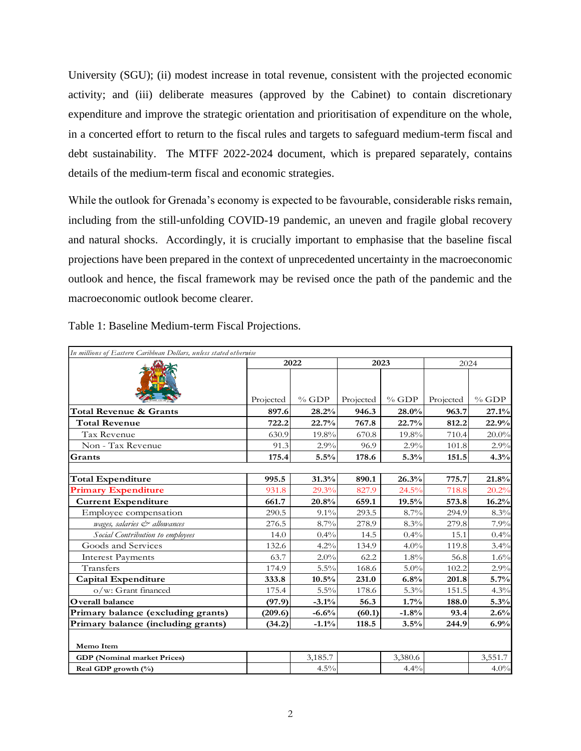University (SGU); (ii) modest increase in total revenue, consistent with the projected economic activity; and (iii) deliberate measures (approved by the Cabinet) to contain discretionary expenditure and improve the strategic orientation and prioritisation of expenditure on the whole, in a concerted effort to return to the fiscal rules and targets to safeguard medium-term fiscal and debt sustainability. The MTFF 2022-2024 document, which is prepared separately, contains details of the medium-term fiscal and economic strategies.

While the outlook for Grenada's economy is expected to be favourable, considerable risks remain, including from the still-unfolding COVID-19 pandemic, an uneven and fragile global recovery and natural shocks. Accordingly, it is crucially important to emphasise that the baseline fiscal projections have been prepared in the context of unprecedented uncertainty in the macroeconomic outlook and hence, the fiscal framework may be revised once the path of the pandemic and the macroeconomic outlook become clearer.

| In millions of Eastern Caribbean Dollars, unless stated otherwise |           |         |           |         |           |          |  |  |  |
|-------------------------------------------------------------------|-----------|---------|-----------|---------|-----------|----------|--|--|--|
|                                                                   | 2022      |         | 2023      |         | 2024      |          |  |  |  |
|                                                                   | Projected | $%$ GDP | Projected | $%$ GDP | Projected | $%$ GDP  |  |  |  |
| Total Revenue & Grants                                            | 897.6     | 28.2%   | 946.3     | 28.0%   | 963.7     | 27.1%    |  |  |  |
| <b>Total Revenue</b>                                              | 722.2     | 22.7%   | 767.8     | 22.7%   | 812.2     | 22.9%    |  |  |  |
| <b>Tax Revenue</b>                                                | 630.9     | 19.8%   | 670.8     | 19.8%   | 710.4     | $20.0\%$ |  |  |  |
| Non - Tax Revenue                                                 | 91.3      | 2.9%    | 96.9      | 2.9%    | 101.8     | 2.9%     |  |  |  |
| Grants                                                            | 175.4     | 5.5%    | 178.6     | 5.3%    | 151.5     | 4.3%     |  |  |  |
|                                                                   |           |         |           |         |           |          |  |  |  |
| <b>Total Expenditure</b>                                          | 995.5     | 31.3%   | 890.1     | 26.3%   | 775.7     | 21.8%    |  |  |  |
| <b>Primary Expenditure</b>                                        | 931.8     | 29.3%   | 827.9     | 24.5%   | 718.8     | 20.2%    |  |  |  |
| <b>Current Expenditure</b>                                        | 661.7     | 20.8%   | 659.1     | 19.5%   | 573.8     | 16.2%    |  |  |  |
| Employee compensation                                             | 290.5     | $9.1\%$ | 293.5     | 8.7%    | 294.9     | 8.3%     |  |  |  |
| wages, salaries & allowances                                      | 276.5     | 8.7%    | 278.9     | 8.3%    | 279.8     | 7.9%     |  |  |  |
| Social Contribution to employees                                  | 14.0      | 0.4%    | 14.5      | 0.4%    | 15.1      | 0.4%     |  |  |  |
| Goods and Services                                                | 132.6     | 4.2%    | 134.9     | 4.0%    | 119.8     | 3.4%     |  |  |  |
| <b>Interest Payments</b>                                          | 63.7      | 2.0%    | 62.2      | 1.8%    | 56.8      | 1.6%     |  |  |  |
| Transfers                                                         | 174.9     | 5.5%    | 168.6     | $5.0\%$ | 102.2     | 2.9%     |  |  |  |
| Capital Expenditure                                               | 333.8     | 10.5%   | 231.0     | 6.8%    | 201.8     | 5.7%     |  |  |  |
| o/w: Grant financed                                               | 175.4     | 5.5%    | 178.6     | 5.3%    | 151.5     | 4.3%     |  |  |  |
| Overall balance                                                   | (97.9)    | $-3.1%$ | 56.3      | 1.7%    | 188.0     | 5.3%     |  |  |  |
| Primary balance (excluding grants)                                | (209.6)   | $-6.6%$ | (60.1)    | $-1.8%$ | 93.4      | 2.6%     |  |  |  |
| Primary balance (including grants)                                | (34.2)    | $-1.1%$ | 118.5     | 3.5%    | 244.9     | 6.9%     |  |  |  |
| Memo Item                                                         |           |         |           |         |           |          |  |  |  |
| <b>GDP</b> (Nominal market Prices)                                |           | 3,185.7 |           | 3,380.6 |           | 3,551.7  |  |  |  |
| Real GDP growth (%)                                               |           | 4.5%    |           | 4.4%    |           | $4.0\%$  |  |  |  |

Table 1: Baseline Medium-term Fiscal Projections.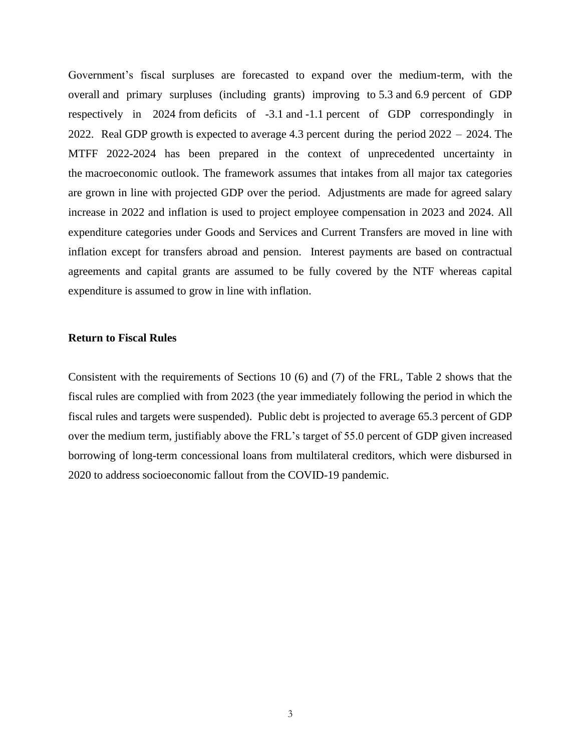Government's fiscal surpluses are forecasted to expand over the medium-term, with the overall and primary surpluses (including grants) improving to 5.3 and 6.9 percent of GDP respectively in 2024 from deficits of -3.1 and -1.1 percent of GDP correspondingly in 2022. Real GDP growth is expected to average 4.3 percent during the period 2022 – 2024. The MTFF 2022-2024 has been prepared in the context of unprecedented uncertainty in the macroeconomic outlook. The framework assumes that intakes from all major tax categories are grown in line with projected GDP over the period. Adjustments are made for agreed salary increase in 2022 and inflation is used to project employee compensation in 2023 and 2024. All expenditure categories under Goods and Services and Current Transfers are moved in line with inflation except for transfers abroad and pension. Interest payments are based on contractual agreements and capital grants are assumed to be fully covered by the NTF whereas capital expenditure is assumed to grow in line with inflation.

#### **Return to Fiscal Rules**

Consistent with the requirements of Sections 10 (6) and (7) of the FRL, Table 2 shows that the fiscal rules are complied with from 2023 (the year immediately following the period in which the fiscal rules and targets were suspended). Public debt is projected to average 65.3 percent of GDP over the medium term, justifiably above the FRL's target of 55.0 percent of GDP given increased borrowing of long-term concessional loans from multilateral creditors, which were disbursed in 2020 to address socioeconomic fallout from the COVID-19 pandemic.